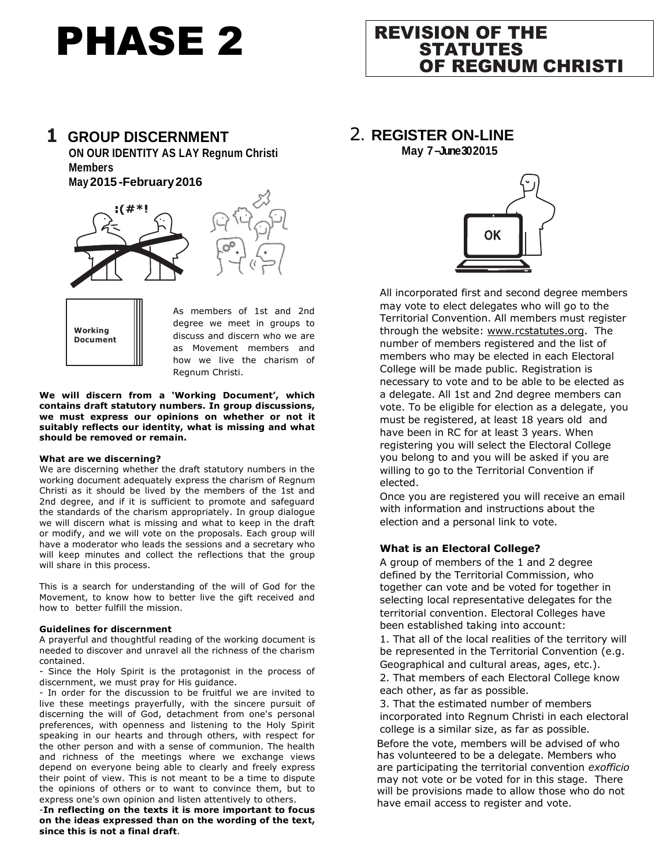# PHASE 2

# REVISION OF THE STATUTES OF REGNUM CHRISTI

2**. REGISTER ON-LINE**

**May 7 –June 30 2015**

#### **1 GROUP DISCERNMENT ON OUR IDENTITY AS LAY Regnum Christi Members**

**May 2015 -February2016**





As members of 1st and 2nd degree we meet in groups to discuss and discern who we are as Movement members and how we live the charism of Regnum Christi.

**We will discern from a 'Working Document', which contains draft statutory numbers. In group discussions, we must express our opinions on whether or not it suitably reflects our identity, what is missing and what should be removed or remain.**

#### **What are we discerning?**

We are discerning whether the draft statutory numbers in the working document adequately express the charism of Regnum Christi as it should be lived by the members of the 1st and 2nd degree, and if it is sufficient to promote and safeguard the standards of the charism appropriately. In group dialogue we will discern what is missing and what to keep in the draft or modify, and we will vote on the proposals. Each group will have a moderator who leads the sessions and a secretary who will keep minutes and collect the reflections that the group will share in this process.

This is a search for understanding of the will of God for the Movement, to know how to better live the gift received and how to better fulfill the mission.

#### **Guidelines for discernment**

A prayerful and thoughtful reading of the working document is needed to discover and unravel all the richness of the charism contained.

- Since the Holy Spirit is the protagonist in the process of discernment, we must pray for His guidance.

- In order for the discussion to be fruitful we are invited to live these meetings prayerfully, with the sincere pursuit of discerning the will of God, detachment from one's personal preferences, with openness and listening to the Holy Spirit speaking in our hearts and through others, with respect for the other person and with a sense of communion. The health and richness of the meetings where we exchange views depend on everyone being able to clearly and freely express their point of view. This is not meant to be a time to dispute the opinions of others or to want to convince them, but to express one's own opinion and listen attentively to others.

-**In reflecting on the texts it is more important to focus on the ideas expressed than on the wording of the text, since this is not a final draft**.



All incorporated first and second degree members may vote to elect delegates who will go to the Territorial Convention. All members must register through the website: [www.rcstatutes.org.](http://www.rcstatutes.org/) The number of members registered and the list of members who may be elected in each Electoral College will be made public. Registration is necessary to vote and to be able to be elected as a delegate. All 1st and 2nd degree members can vote. To be eligible for election as a delegate, you must be registered, at least 18 years old and have been in RC for at least 3 years. When registering you will select the Electoral College you belong to and you will be asked if you are willing to go to the Territorial Convention if elected.

Once you are registered you will receive an email with information and instructions about the election and a personal link to vote.

#### **What is an Electoral College?**

A group of members of the 1 and 2 degree defined by the Territorial Commission, who together can vote and be voted for together in selecting local representative delegates for the territorial convention. Electoral Colleges have been established taking into account:

1. That all of the local realities of the territory will be represented in the Territorial Convention (e.g. Geographical and cultural areas, ages, etc.).

2. That members of each Electoral College know each other, as far as possible.

3. That the estimated number of members incorporated into Regnum Christi in each electoral college is a similar size, as far as possible.

Before the vote, members will be advised of who has volunteered to be a delegate. Members who are participating the territorial convention *exofficio* may not vote or be voted for in this stage. There will be provisions made to allow those who do not have email access to register and vote.